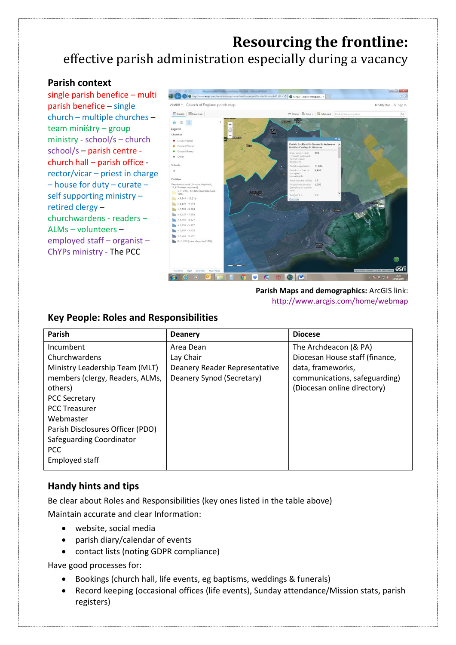# **Resourcing the frontline:** effective parish administration especially during a vacancy

### **Parish context**

single parish benefice – multi parish benefice – single church – multiple churches – team ministry – group ministry - school/s – church school/s – parish centre church hall – parish office rector/vicar – priest in charge – house for duty – curate – self supporting ministry – retired clergy – churchwardens - readers – ALMs – volunteers – employed staff – organist – ChYPs ministry - The PCC



### **Parish Maps and demographics:** ArcGIS link: [http://www.arcgis.com/home/webmap](http://www.arcgis.com/home/webmap/viewer.html?webmap=67bce0ed36dd4ee0af7a16bc079aa09a&extent=-0.4317,51.313,0.1986,51.5945)

#### **Parish Deanery Diocese** Incumbent Churchwardens Ministry Leadership Team (MLT) members (clergy, Readers, ALMs, others) PCC Secretary PCC Treasurer Webmaster Parish Disclosures Officer (PDO) Safeguarding Coordinator PCC Employed staff Area Dean Lay Chair Deanery Reader Representative Deanery Synod (Secretary) The Archdeacon (& PA) Diocesan House staff (finance, data, frameworks, communications, safeguarding) (Diocesan online directory)

### **Key People: Roles and Responsibilities**

## **Handy hints and tips**

Be clear about Roles and Responsibilities (key ones listed in the table above) Maintain accurate and clear Information:

- website, social media
- parish diary/calendar of events
- contact lists (noting GDPR compliance)

Have good processes for:

- Bookings (church hall, life events, eg baptisms, weddings & funerals)
- Record keeping (occasional offices (life events), Sunday attendance/Mission stats, parish registers)